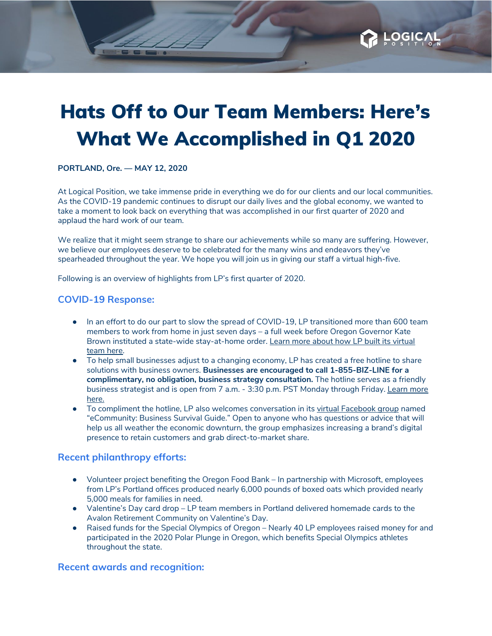# Hats Off to Our Team Members: Here's What We Accomplished in Q1 2020

**PORTLAND, Ore. — MAY 12, 2020**

At Logical Position, we take immense pride in everything we do for our clients and our local communities. As the COVID-19 pandemic continues to disrupt our daily lives and the global economy, we wanted to take a moment to look back on everything that was accomplished in our first quarter of 2020 and applaud the hard work of our team.

We realize that it might seem strange to share our achievements while so many are suffering. However, we believe our employees deserve to be celebrated for the many wins and endeavors they've spearheaded throughout the year. We hope you will join us in giving our staff a virtual high-five.

Following is an overview of highlights from LP's first quarter of 2020.

#### **COVID-19 Response:**

- In an effort to do our part to slow the spread of COVID-19, LP transitioned more than 600 team members to work from home in just seven days – a full week before Oregon Governor Kate Brown instituted a state-wide stay-at-home order. Learn more about how LP built its [virtual](https://blog.logicalposition.com/seven-days-to-deploy-a-virtual-team-during-covid-19) [team](https://blog.logicalposition.com/seven-days-to-deploy-a-virtual-team-during-covid-19) here.
- To help small businesses adjust to a changing economy, LP has created a free hotline to share solutions with business owners. **Businesses are encouraged to call 1-855-BIZ-LINE for a complimentary, no obligation, business strategy consultation.** The hotline serves as a friendly business strategist and is open from 7 a.m. - 3:30 p.m. PST Monday through Friday. [Learn](https://www.logicalposition.com/biz-line) more [here.](https://www.logicalposition.com/biz-line)
- To compliment the hotline, LP also welcomes conversation in its virtual [Facebook](https://www.facebook.com/groups/681651995707079/) group named "eCommunity: Business Survival Guide." Open to anyone who has questions or advice that will help us all weather the economic downturn, the group emphasizes increasing a brand's digital presence to retain customers and grab direct-to-market share.

#### **Recent philanthropy efforts:**

- Volunteer project benefiting the Oregon Food Bank In partnership with Microsoft, employees from LP's Portland offices produced nearly 6,000 pounds of boxed oats which provided nearly 5,000 meals for families in need.
- Valentine's Day card drop LP team members in Portland delivered homemade cards to the Avalon Retirement Community on Valentine's Day.
- Raised funds for the Special Olympics of Oregon Nearly 40 LP employees raised money for and participated in the 2020 Polar Plunge in Oregon, which benefits Special Olympics athletes throughout the state.

#### **Recent awards and recognition:**